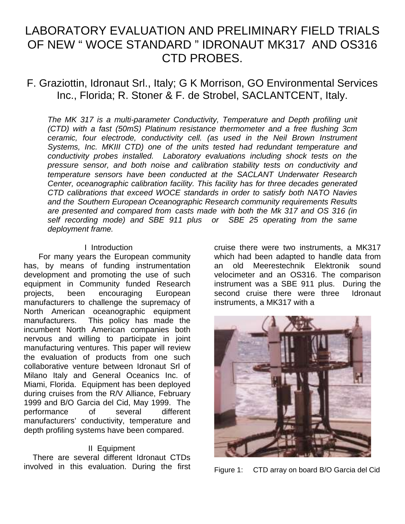# LABORATORY EVALUATION AND PRELIMINARY FIELD TRIALS OF NEW " WOCE STANDARD " IDRONAUT MK317 AND OS316 CTD PROBES.

# F. Graziottin, Idronaut Srl., Italy; G K Morrison, GO Environmental Services Inc., Florida; R. Stoner & F. de Strobel, SACLANTCENT, Italy.

The MK 317 is a multi-parameter Conductivity, Temperature and Depth profiling unit (CTD) with a fast (50mS) Platinum resistance thermometer and a free flushing 3cm ceramic, four electrode, conductivity cell. (as used in the Neil Brown Instrument Systems, Inc. MKIII CTD) one of the units tested had redundant temperature and conductivity probes installed. Laboratory evaluations including shock tests on the pressure sensor, and both noise and calibration stability tests on conductivity and temperature sensors have been conducted at the SACLANT Underwater Research Center, oceanographic calibration facility. This facility has for three decades generated CTD calibrations that exceed WOCE standards in order to satisfy both NATO Navies and the Southern European Oceanographic Research community requirements Results are presented and compared from casts made with both the Mk 317 and OS 316 (in self recording mode) and SBE 911 plus or SBE 25 operating from the same deployment frame.

#### I Introduction

For many years the European community has, by means of funding instrumentation development and promoting the use of such equipment in Community funded Research projects, been encouraging European manufacturers to challenge the supremacy of North American oceanographic equipment manufacturers. This policy has made the incumbent North American companies both nervous and willing to participate in joint manufacturing ventures. This paper will review the evaluation of products from one such collaborative venture between Idronaut Srl of Milano Italy and General Oceanics Inc. of Miami, Florida. Equipment has been deployed during cruises from the R/V Alliance, February 1999 and B/O Garcia del Cid, May 1999. The performance of several different manufacturers' conductivity, temperature and depth profiling systems have been compared.

#### II Equipment

There are several different Idronaut CTDs involved in this evaluation. During the first cruise there were two instruments, a MK317 which had been adapted to handle data from an old Meerestechnik Elektronik sound velocimeter and an OS316. The comparison instrument was a SBE 911 plus. During the second cruise there were three Idronaut instruments, a MK317 with a



Figure 1: CTD array on board B/O Garcia del Cid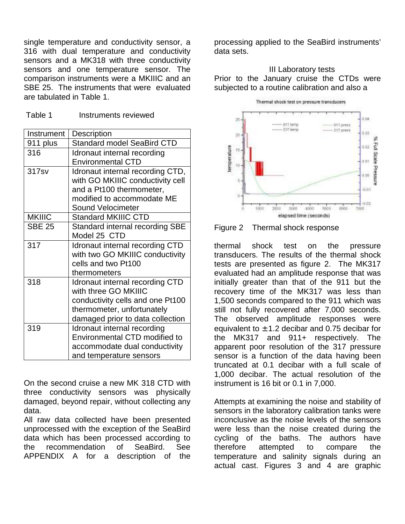single temperature and conductivity sensor, a 316 with dual temperature and conductivity sensors and a MK318 with three conductivity sensors and one temperature sensor. The comparison instruments were a MKIIIC and an SBE 25. The instruments that were evaluated are tabulated in Table 1.

| Instrument    | <b>Description</b>                |  |  |  |
|---------------|-----------------------------------|--|--|--|
| 911 plus      | <b>Standard model SeaBird CTD</b> |  |  |  |
| 316           | Idronaut internal recording       |  |  |  |
|               | <b>Environmental CTD</b>          |  |  |  |
| 317sv         | Idronaut internal recording CTD,  |  |  |  |
|               | with GO MKIIIC conductivity cell  |  |  |  |
|               | and a Pt100 thermometer,          |  |  |  |
|               | modified to accommodate ME        |  |  |  |
|               | Sound Velocimeter                 |  |  |  |
| <b>MKIIIC</b> | <b>Standard MKIIIC CTD</b>        |  |  |  |
| <b>SBE 25</b> | Standard internal recording SBE   |  |  |  |
|               | Model 25 CTD                      |  |  |  |
| 317           | Idronaut internal recording CTD   |  |  |  |
|               | with two GO MKIIIC conductivity   |  |  |  |
|               | cells and two Pt100               |  |  |  |
|               | thermometers                      |  |  |  |
| 318           | Idronaut internal recording CTD   |  |  |  |
|               | with three GO MKIIIC              |  |  |  |
|               | conductivity cells and one Pt100  |  |  |  |
|               | thermometer, unfortunately        |  |  |  |
|               | damaged prior to data collection  |  |  |  |
| 319           | Idronaut internal recording       |  |  |  |
|               | Environmental CTD modified to     |  |  |  |
|               | accommodate dual conductivity     |  |  |  |
|               | and temperature sensors           |  |  |  |

On the second cruise a new MK 318 CTD with three conductivity sensors was physically damaged, beyond repair, without collecting any data.

All raw data collected have been presented unprocessed with the exception of the SeaBird data which has been processed according to the recommendation of SeaBird. See APPENDIX A for a description of the

processing applied to the SeaBird instruments' data sets.

# III Laboratory tests Prior to the January cruise the CTDs were subjected to a routine calibration and also a



Figure 2 Thermal shock response

thermal shock test on the pressure transducers. The results of the thermal shock tests are presented as figure 2. The MK317 evaluated had an amplitude response that was initially greater than that of the 911 but the recovery time of the MK317 was less than 1,500 seconds compared to the 911 which was still not fully recovered after 7,000 seconds. The observed amplitude responses were equivalent to  $\pm$  1.2 decibar and 0.75 decibar for the MK317 and 911+ respectively. The apparent poor resolution of the 317 pressure sensor is a function of the data having been truncated at 0.1 decibar with a full scale of 1,000 decibar. The actual resolution of the instrument is 16 bit or 0.1 in 7,000.

Attempts at examining the noise and stability of sensors in the laboratory calibration tanks were inconclusive as the noise levels of the sensors were less than the noise created during the cycling of the baths. The authors have therefore attempted to compare the temperature and salinity signals during an actual cast. Figures 3 and 4 are graphic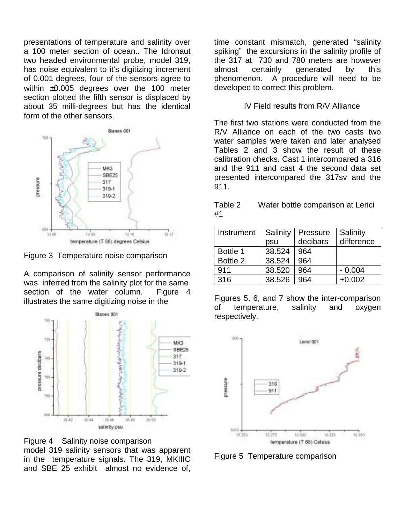presentations of temperature and salinity over a 100 meter section of ocean.. The Idronaut two headed environmental probe, model 319, has noise equivalent to it's digitizing increment of 0.001 degrees, four of the sensors agree to within ±0.005 degrees over the 100 meter section plotted the fifth sensor is displaced by about 35 milli-degrees but has the identical form of the other sensors.



Figure 3 Temperature noise comparison

A comparison of salinity sensor performance was inferred from the salinity plot for the same section of the water column. Figure 4 illustrates the same digitizing noise in the



Figure 4 Salinity noise comparison model 319 salinity sensors that was apparent

in the temperature signals. The 319, MKIIIC and SBE 25 exhibit almost no evidence of,

time constant mismatch, generated "salinity spiking" the excursions in the salinity profile of the 317 at 730 and 780 meters are however almost certainly generated by this phenomenon. A procedure will need to be developed to correct this problem.

### IV Field results from R/V Alliance

The first two stations were conducted from the R/V Alliance on each of the two casts two water samples were taken and later analysed Tables 2 and 3 show the result of these calibration checks. Cast 1 intercompared a 316 and the 911 and cast 4 the second data set presented intercompared the 317sv and the 911.

Table 2 Water bottle comparison at Lerici #1

| Instrument | Salinity | Pressure | Salinity   |
|------------|----------|----------|------------|
|            | psu      | decibars | difference |
| Bottle 1   | 38.524   | 964      |            |
| Bottle 2   | 38.524   | 964      |            |
| 911        | 38.520   | 964      | $-0.004$   |
| 316        | 38.526   | 964      | $+0.002$   |

Figures 5, 6, and 7 show the inter-comparison of temperature, salinity and oxygen respectively.



Figure 5 Temperature comparison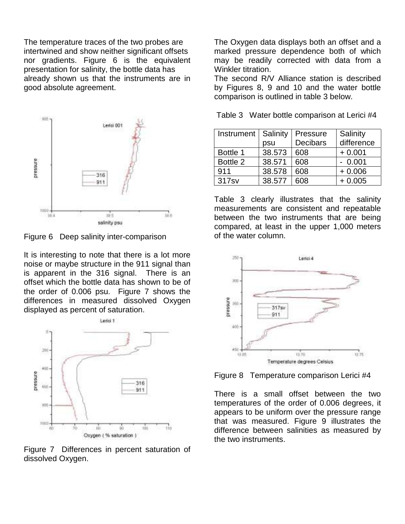The temperature traces of the two probes are intertwined and show neither significant offsets nor gradients. Figure 6 is the equivalent presentation for salinity, the bottle data has already shown us that the instruments are in good absolute agreement.



Figure 6 Deep salinity inter-comparison

It is interesting to note that there is a lot more noise or maybe structure in the 911 signal than is apparent in the 316 signal. There is an offset which the bottle data has shown to be of the order of 0.006 psu. Figure 7 shows the differences in measured dissolved Oxygen displayed as percent of saturation.



Figure 7 Differences in percent saturation of dissolved Oxygen.

The Oxygen data displays both an offset and a marked pressure dependence both of which may be readily corrected with data from a Winkler titration.

The second R/V Alliance station is described by Figures 8, 9 and 10 and the water bottle comparison is outlined in table 3 below.

Table 3 Water bottle comparison at Lerici #4

| Instrument | Salinity | Pressure        | Salinity   |
|------------|----------|-----------------|------------|
|            | psu      | <b>Decibars</b> | difference |
| Bottle 1   | 38.573   | 608             | $+0.001$   |
| Bottle 2   | 38.571   | 608             | $-0.001$   |
| 911        | 38.578   | 608             | $+0.006$   |
| 317sv      | 38.577   | 608             | $+0.005$   |

Table 3 clearly illustrates that the salinity measurements are consistent and repeatable between the two instruments that are being compared, at least in the upper 1,000 meters of the water column.



Figure 8 Temperature comparison Lerici #4

There is a small offset between the two temperatures of the order of 0.006 degrees, it appears to be uniform over the pressure range that was measured. Figure 9 illustrates the difference between salinities as measured by the two instruments.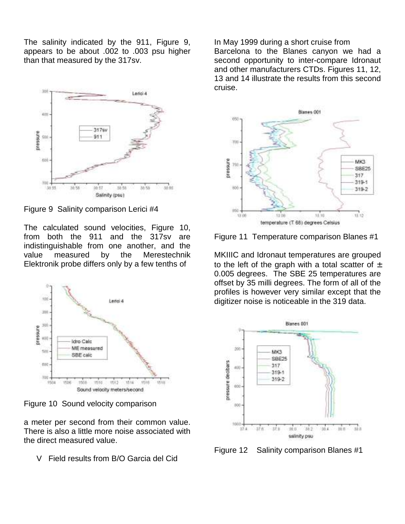The salinity indicated by the 911, Figure 9, appears to be about .002 to .003 psu higher than that measured by the 317sv.



Figure 9 Salinity comparison Lerici #4

The calculated sound velocities, Figure 10, from both the 911 and the 317sv are indistinguishable from one another, and the value measured by the Merestechnik Elektronik probe differs only by a few tenths of



Figure 10 Sound velocity comparison

a meter per second from their common value. There is also a little more noise associated with the direct measured value.

V Field results from B/O Garcia del Cid

In May 1999 during a short cruise from Barcelona to the Blanes canyon we had a second opportunity to inter-compare Idronaut and other manufacturers CTDs. Figures 11, 12, 13 and 14 illustrate the results from this second cruise.



Figure 11 Temperature comparison Blanes #1

MKIIIC and Idronaut temperatures are grouped to the left of the graph with a total scatter of  $\pm$ 0.005 degrees. The SBE 25 temperatures are offset by 35 milli degrees. The form of all of the profiles is however very similar except that the digitizer noise is noticeable in the 319 data.



Figure 12 Salinity comparison Blanes #1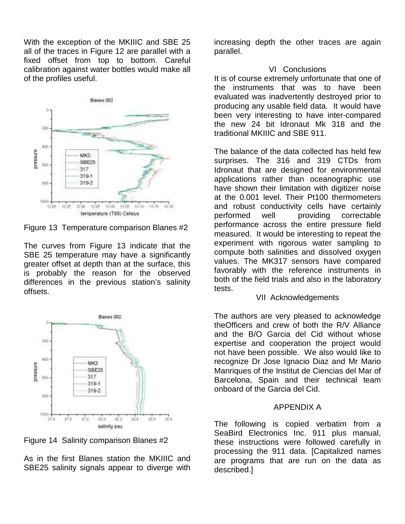With the exception of the MKIIIC and SBE 25 all of the traces in Figure 12 are parallel with a fixed offset from top to bottom. Careful calibration against water bottles would make all of the profiles useful.



Figure 13 Temperature comparison Blanes #2

The curves from Figure 13 indicate that the SBE 25 temperature may have a significantly greater offset at depth than at the surface, this is probably the reason for the observed differences in the previous station's salinity offsets.



Figure 14 Salinity comparison Blanes #2

As in the first Blanes station the MKIIIC and SBE25 salinity signals appear to diverge with increasing depth the other traces are again parallel.

#### VI Conclusions

It is of course extremely unfortunate that one of the instruments that was to have been evaluated was inadvertently destroyed prior to producing any usable field data. It would have been very interesting to have inter-compared the new 24 bit Idronaut Mk 318 and the traditional MKIIIC and SBE 911.

The balance of the data collected has held few surprises. The 316 and 319 CTDs from Idronaut that are designed for environmental applications rather than oceanographic use have shown their limitation with digitizer noise at the 0.001 level. Their Pt100 thermometers and robust conductivity cells have certainly performed well providing correctable performance across the entire pressure field measured. It would be interesting to repeat the experiment with rigorous water sampling to compute both salinities and dissolved oxygen values. The MK317 sensors have compared favorably with the reference instruments in both of the field trials and also in the laboratory tests.

## VII Acknowledgements

The authors are very pleased to acknowledge theOfficers and crew of both the R/V Alliance and the B/O Garcia del Cid without whose expertise and cooperation the project would not have been possible. We also would like to recognize Dr Jose Ignacio Diaz and Mr Mario Manriques of the Institut de Ciencias del Mar of Barcelona, Spain and their technical team onboard of the Garcia del Cid.

# APPENDIX A

The following is copied verbatim from a SeaBird Electronics Inc. 911 plus manual, these instructions were followed carefully in processing the 911 data. [Capitalized names are programs that are run on the data as described.]